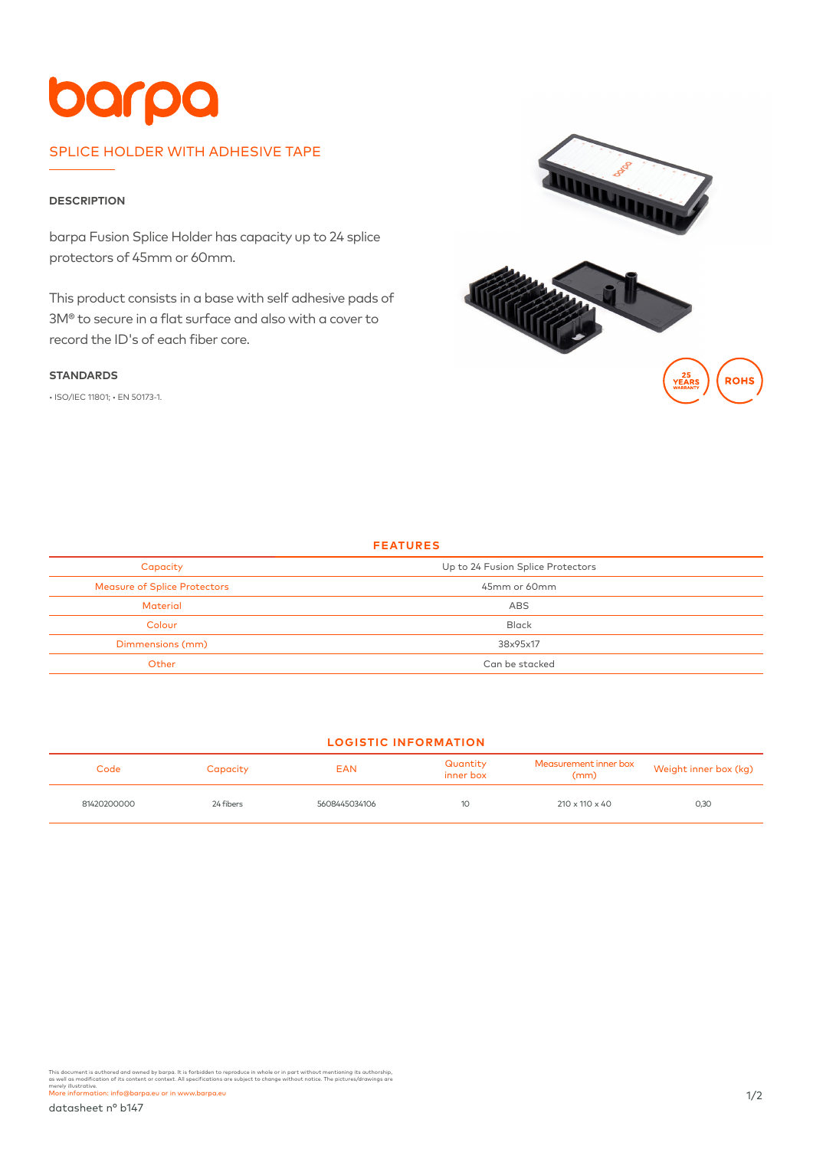## barpa

## SPLICE HOLDER WITH ADHESIVE TAPE

## **DESCRIPTION**

barpa Fusion Splice Holder has capacity up to 24 splice protectors of 45mm or 60mm.

This product consists in a base with self adhesive pads of 3M® to secure in a flat surface and also with a cover to record the ID's of each fiber core.

#### **STANDARDS**

• ISO/IEC 11801; • EN 50173-1.



## **FEATURES**

| Capacity                            | Up to 24 Fusion Splice Protectors |  |  |
|-------------------------------------|-----------------------------------|--|--|
| <b>Measure of Splice Protectors</b> | 45mm or 60mm                      |  |  |
| <b>Material</b>                     | ABS                               |  |  |
| Colour                              | <b>Black</b>                      |  |  |
| Dimmensions (mm)                    | 38x95x17                          |  |  |
| Other                               | Can be stacked                    |  |  |

## **LOGISTIC INFORMATION**

| Code        | Capacity  | <b>EAN</b>    | Quantity<br>inner box | Measurement inner box<br>(mm) | Weight inner box (kg) |
|-------------|-----------|---------------|-----------------------|-------------------------------|-----------------------|
| 81420200000 | 24 fibers | 5608445034106 |                       | $210 \times 110 \times 40$    | 0,30                  |

This document is authored and owned by barpa. It is forbidden to reproduce in whole or in part without mentioning its authorship,<br>as well as modification of its content or context. All specifications are subject to change